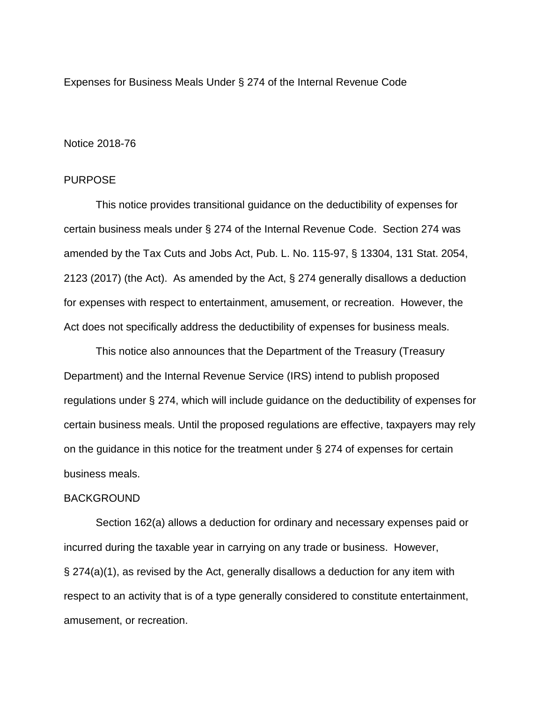Expenses for Business Meals Under § 274 of the Internal Revenue Code

## Notice 2018-76

## PURPOSE

This notice provides transitional guidance on the deductibility of expenses for certain business meals under § 274 of the Internal Revenue Code. Section 274 was amended by the Tax Cuts and Jobs Act, Pub. L. No. 115-97, § 13304, 131 Stat. 2054, 2123 (2017) (the Act). As amended by the Act, § 274 generally disallows a deduction for expenses with respect to entertainment, amusement, or recreation. However, the Act does not specifically address the deductibility of expenses for business meals.

This notice also announces that the Department of the Treasury (Treasury Department) and the Internal Revenue Service (IRS) intend to publish proposed regulations under § 274, which will include guidance on the deductibility of expenses for certain business meals. Until the proposed regulations are effective, taxpayers may rely on the guidance in this notice for the treatment under § 274 of expenses for certain business meals.

#### BACKGROUND

Section 162(a) allows a deduction for ordinary and necessary expenses paid or incurred during the taxable year in carrying on any trade or business. However, § 274(a)(1), as revised by the Act, generally disallows a deduction for any item with respect to an activity that is of a type generally considered to constitute entertainment, amusement, or recreation.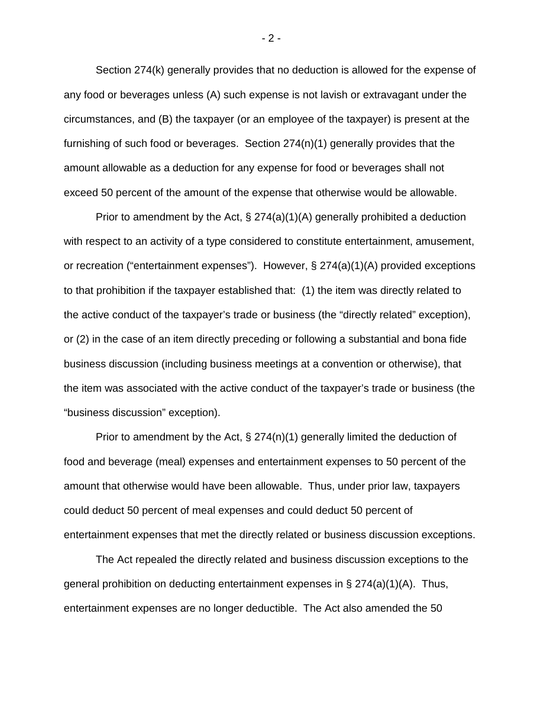Section 274(k) generally provides that no deduction is allowed for the expense of any food or beverages unless (A) such expense is not lavish or extravagant under the circumstances, and (B) the taxpayer (or an employee of the taxpayer) is present at the furnishing of such food or beverages. Section 274(n)(1) generally provides that the amount allowable as a deduction for any expense for food or beverages shall not exceed 50 percent of the amount of the expense that otherwise would be allowable.

Prior to amendment by the Act,  $\S 274(a)(1)(A)$  generally prohibited a deduction with respect to an activity of a type considered to constitute entertainment, amusement, or recreation ("entertainment expenses"). However, § 274(a)(1)(A) provided exceptions to that prohibition if the taxpayer established that: (1) the item was directly related to the active conduct of the taxpayer's trade or business (the "directly related" exception), or (2) in the case of an item directly preceding or following a substantial and bona fide business discussion (including business meetings at a convention or otherwise), that the item was associated with the active conduct of the taxpayer's trade or business (the "business discussion" exception).

Prior to amendment by the Act, § 274(n)(1) generally limited the deduction of food and beverage (meal) expenses and entertainment expenses to 50 percent of the amount that otherwise would have been allowable. Thus, under prior law, taxpayers could deduct 50 percent of meal expenses and could deduct 50 percent of entertainment expenses that met the directly related or business discussion exceptions.

The Act repealed the directly related and business discussion exceptions to the general prohibition on deducting entertainment expenses in  $\S 274(a)(1)(A)$ . Thus, entertainment expenses are no longer deductible. The Act also amended the 50

- 2 -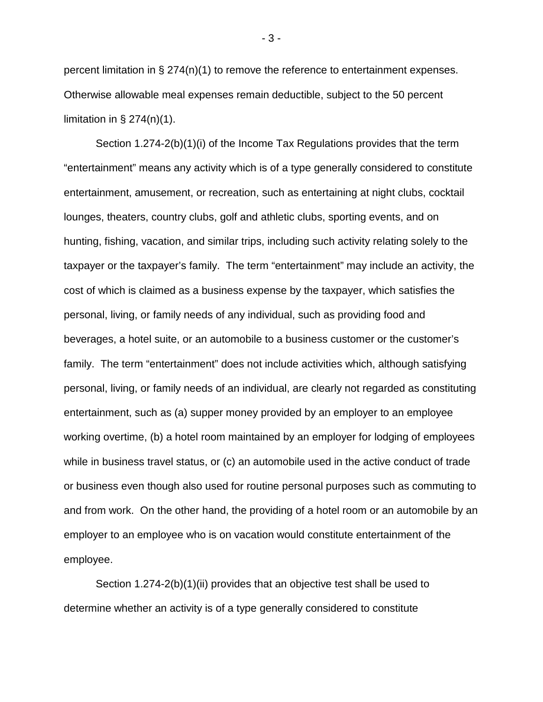percent limitation in  $\S 274(n)(1)$  to remove the reference to entertainment expenses. Otherwise allowable meal expenses remain deductible, subject to the 50 percent limitation in  $\S 274(n)(1)$ .

Section 1.274-2(b)(1)(i) of the Income Tax Regulations provides that the term "entertainment" means any activity which is of a type generally considered to constitute entertainment, amusement, or recreation, such as entertaining at night clubs, cocktail lounges, theaters, country clubs, golf and athletic clubs, sporting events, and on hunting, fishing, vacation, and similar trips, including such activity relating solely to the taxpayer or the taxpayer's family. The term "entertainment" may include an activity, the cost of which is claimed as a business expense by the taxpayer, which satisfies the personal, living, or family needs of any individual, such as providing food and beverages, a hotel suite, or an automobile to a business customer or the customer's family. The term "entertainment" does not include activities which, although satisfying personal, living, or family needs of an individual, are clearly not regarded as constituting entertainment, such as (a) supper money provided by an employer to an employee working overtime, (b) a hotel room maintained by an employer for lodging of employees while in business travel status, or (c) an automobile used in the active conduct of trade or business even though also used for routine personal purposes such as commuting to and from work. On the other hand, the providing of a hotel room or an automobile by an employer to an employee who is on vacation would constitute entertainment of the employee.

Section 1.274-2(b)(1)(ii) provides that an objective test shall be used to determine whether an activity is of a type generally considered to constitute

- 3 -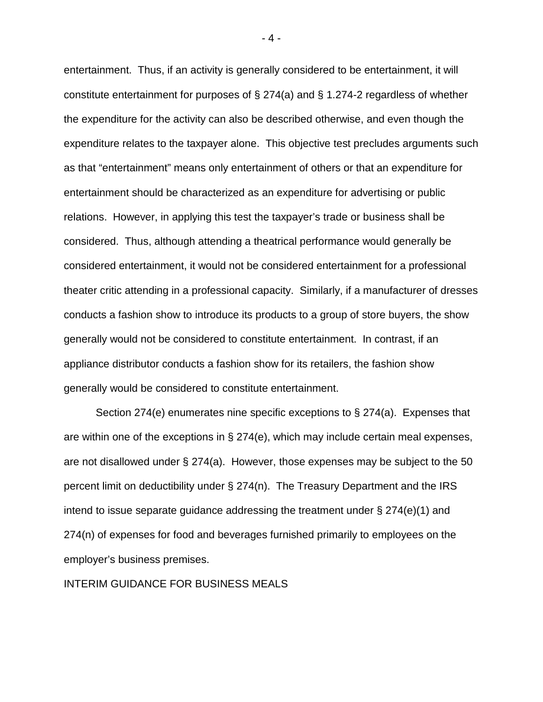entertainment. Thus, if an activity is generally considered to be entertainment, it will constitute entertainment for purposes of § 274(a) and § 1.274-2 regardless of whether the expenditure for the activity can also be described otherwise, and even though the expenditure relates to the taxpayer alone. This objective test precludes arguments such as that "entertainment" means only entertainment of others or that an expenditure for entertainment should be characterized as an expenditure for advertising or public relations. However, in applying this test the taxpayer's trade or business shall be considered. Thus, although attending a theatrical performance would generally be considered entertainment, it would not be considered entertainment for a professional theater critic attending in a professional capacity. Similarly, if a manufacturer of dresses conducts a fashion show to introduce its products to a group of store buyers, the show generally would not be considered to constitute entertainment. In contrast, if an appliance distributor conducts a fashion show for its retailers, the fashion show generally would be considered to constitute entertainment.

Section 274(e) enumerates nine specific exceptions to § 274(a). Expenses that are within one of the exceptions in  $\S 274(e)$ , which may include certain meal expenses, are not disallowed under  $\S 274(a)$ . However, those expenses may be subject to the 50 percent limit on deductibility under § 274(n). The Treasury Department and the IRS intend to issue separate guidance addressing the treatment under § 274(e)(1) and 274(n) of expenses for food and beverages furnished primarily to employees on the employer's business premises.

INTERIM GUIDANCE FOR BUSINESS MEALS

- 4 -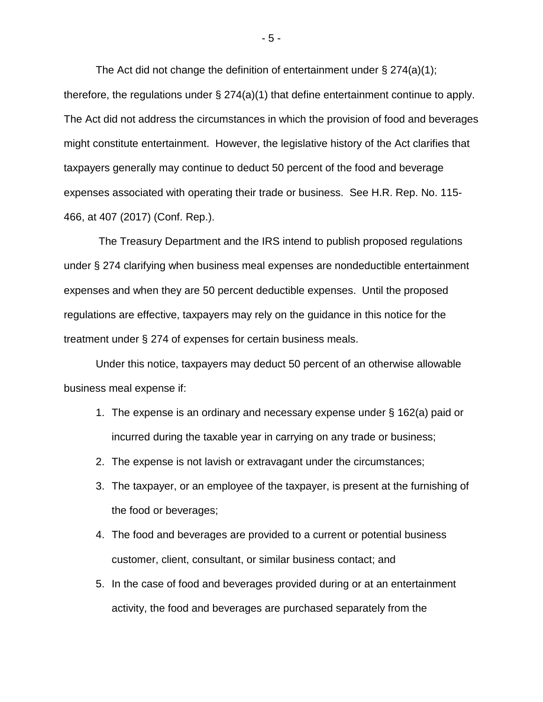The Act did not change the definition of entertainment under  $\S 274(a)(1)$ ; therefore, the regulations under  $\S 274(a)(1)$  that define entertainment continue to apply. The Act did not address the circumstances in which the provision of food and beverages might constitute entertainment. However, the legislative history of the Act clarifies that taxpayers generally may continue to deduct 50 percent of the food and beverage expenses associated with operating their trade or business. See H.R. Rep. No. 115- 466, at 407 (2017) (Conf. Rep.).

The Treasury Department and the IRS intend to publish proposed regulations under § 274 clarifying when business meal expenses are nondeductible entertainment expenses and when they are 50 percent deductible expenses. Until the proposed regulations are effective, taxpayers may rely on the guidance in this notice for the treatment under § 274 of expenses for certain business meals.

Under this notice, taxpayers may deduct 50 percent of an otherwise allowable business meal expense if:

- 1. The expense is an ordinary and necessary expense under § 162(a) paid or incurred during the taxable year in carrying on any trade or business;
- 2. The expense is not lavish or extravagant under the circumstances;
- 3. The taxpayer, or an employee of the taxpayer, is present at the furnishing of the food or beverages;
- 4. The food and beverages are provided to a current or potential business customer, client, consultant, or similar business contact; and
- 5. In the case of food and beverages provided during or at an entertainment activity, the food and beverages are purchased separately from the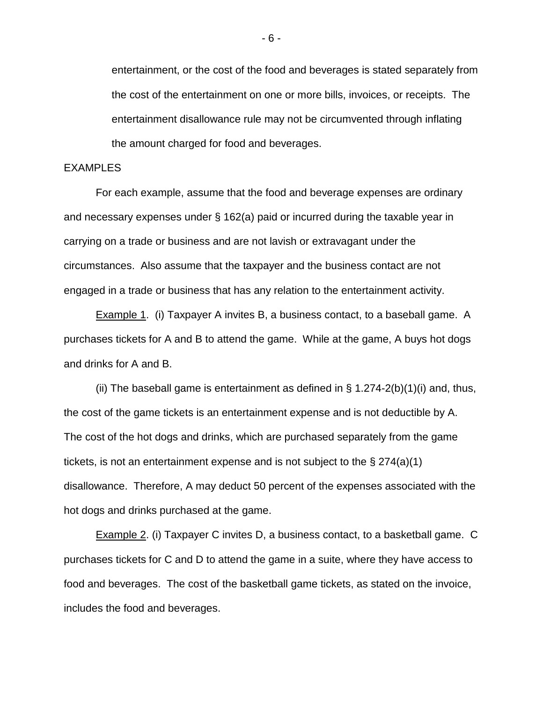entertainment, or the cost of the food and beverages is stated separately from the cost of the entertainment on one or more bills, invoices, or receipts. The entertainment disallowance rule may not be circumvented through inflating the amount charged for food and beverages.

## EXAMPLES

For each example, assume that the food and beverage expenses are ordinary and necessary expenses under § 162(a) paid or incurred during the taxable year in carrying on a trade or business and are not lavish or extravagant under the circumstances. Also assume that the taxpayer and the business contact are not engaged in a trade or business that has any relation to the entertainment activity.

**Example 1.** (i) Taxpayer A invites B, a business contact, to a baseball game. A purchases tickets for A and B to attend the game. While at the game, A buys hot dogs and drinks for A and B.

(ii) The baseball game is entertainment as defined in  $\S$  1.274-2(b)(1)(i) and, thus, the cost of the game tickets is an entertainment expense and is not deductible by A. The cost of the hot dogs and drinks, which are purchased separately from the game tickets, is not an entertainment expense and is not subject to the § 274(a)(1) disallowance. Therefore, A may deduct 50 percent of the expenses associated with the hot dogs and drinks purchased at the game.

Example 2. (i) Taxpayer C invites D, a business contact, to a basketball game. C purchases tickets for C and D to attend the game in a suite, where they have access to food and beverages. The cost of the basketball game tickets, as stated on the invoice, includes the food and beverages.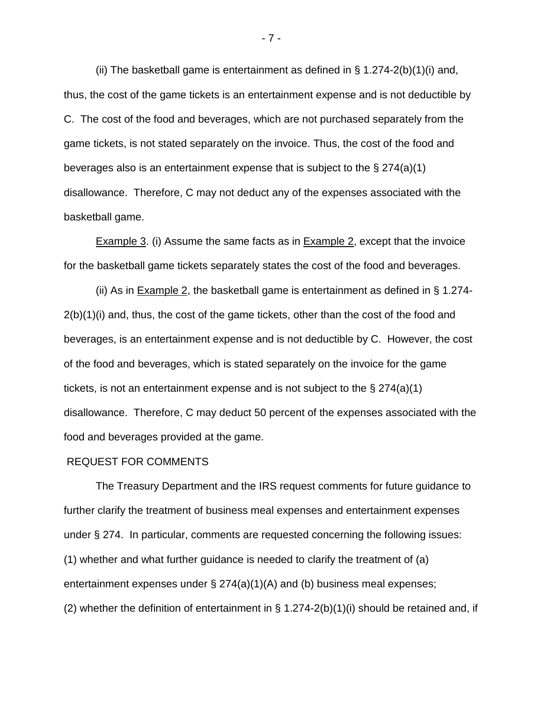(ii) The basketball game is entertainment as defined in  $\S$  1.274-2(b)(1)(i) and, thus, the cost of the game tickets is an entertainment expense and is not deductible by C. The cost of the food and beverages, which are not purchased separately from the game tickets, is not stated separately on the invoice. Thus, the cost of the food and beverages also is an entertainment expense that is subject to the § 274(a)(1) disallowance. Therefore, C may not deduct any of the expenses associated with the basketball game.

Example 3. (i) Assume the same facts as in Example 2, except that the invoice for the basketball game tickets separately states the cost of the food and beverages.

(ii) As in Example 2, the basketball game is entertainment as defined in § 1.274-  $2(b)(1)(i)$  and, thus, the cost of the game tickets, other than the cost of the food and beverages, is an entertainment expense and is not deductible by C. However, the cost of the food and beverages, which is stated separately on the invoice for the game tickets, is not an entertainment expense and is not subject to the § 274(a)(1) disallowance. Therefore, C may deduct 50 percent of the expenses associated with the food and beverages provided at the game.

### REQUEST FOR COMMENTS

The Treasury Department and the IRS request comments for future guidance to further clarify the treatment of business meal expenses and entertainment expenses under § 274. In particular, comments are requested concerning the following issues: (1) whether and what further guidance is needed to clarify the treatment of (a) entertainment expenses under § 274(a)(1)(A) and (b) business meal expenses; (2) whether the definition of entertainment in  $\S$  1.274-2(b)(1)(i) should be retained and, if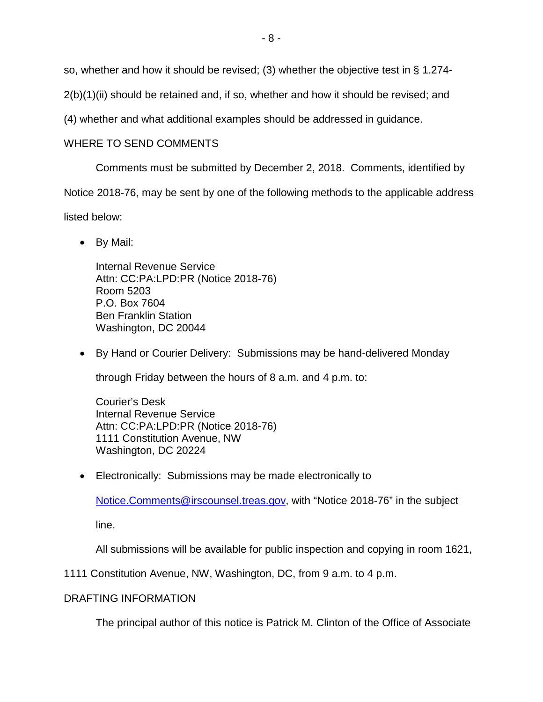so, whether and how it should be revised; (3) whether the objective test in § 1.274-

2(b)(1)(ii) should be retained and, if so, whether and how it should be revised; and

(4) whether and what additional examples should be addressed in guidance.

# WHERE TO SEND COMMENTS

Comments must be submitted by December 2, 2018. Comments, identified by

Notice 2018-76, may be sent by one of the following methods to the applicable address

listed below:

• By Mail:

Internal Revenue Service Attn: CC:PA:LPD:PR (Notice 2018-76) Room 5203 P.O. Box 7604 Ben Franklin Station Washington, DC 20044

• By Hand or Courier Delivery: Submissions may be hand-delivered Monday

through Friday between the hours of 8 a.m. and 4 p.m. to:

Courier's Desk Internal Revenue Service Attn: CC:PA:LPD:PR (Notice 2018-76) 1111 Constitution Avenue, NW Washington, DC 20224

• Electronically: Submissions may be made electronically to

[Notice.Comments@irscounsel.treas.gov,](mailto:Notice.Comments@irscounsel.treas.gov) with "Notice 2018-76" in the subject

line.

All submissions will be available for public inspection and copying in room 1621,

1111 Constitution Avenue, NW, Washington, DC, from 9 a.m. to 4 p.m.

## DRAFTING INFORMATION

The principal author of this notice is Patrick M. Clinton of the Office of Associate